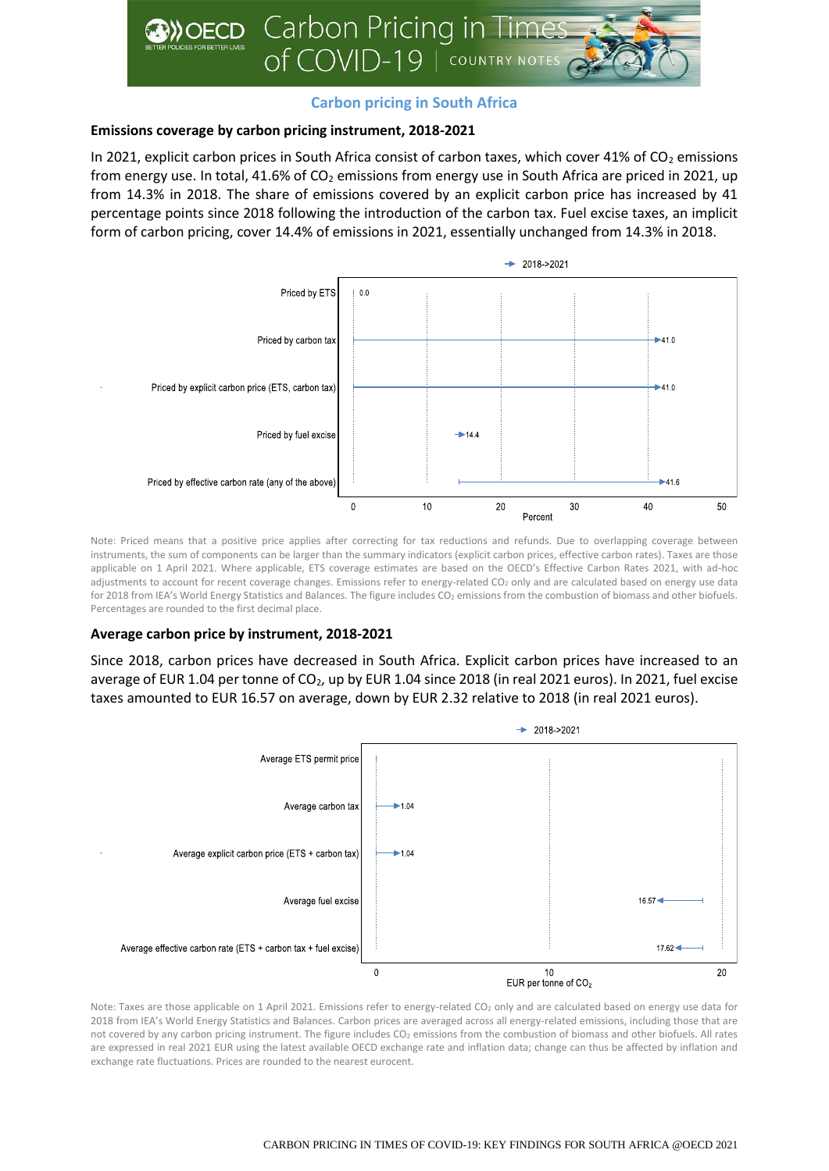

# **Carbon pricing in South Africa**

# **Emissions coverage by carbon pricing instrument, 2018-2021**

In 2021, explicit carbon prices in South Africa consist of carbon taxes, which cover 41% of  $CO<sub>2</sub>$  emissions from energy use. In total, 41.6% of  $CO<sub>2</sub>$  emissions from energy use in South Africa are priced in 2021, up from 14.3% in 2018. The share of emissions covered by an explicit carbon price has increased by 41 percentage points since 2018 following the introduction of the carbon tax. Fuel excise taxes, an implicit form of carbon pricing, cover 14.4% of emissions in 2021, essentially unchanged from 14.3% in 2018.



Note: Priced means that a positive price applies after correcting for tax reductions and refunds. Due to overlapping coverage between instruments, the sum of components can be larger than the summary indicators (explicit carbon prices, effective carbon rates). Taxes are those applicable on 1 April 2021. Where applicable, ETS coverage estimates are based on the OECD's Effective Carbon Rates 2021, with ad-hoc adjustments to account for recent coverage changes. Emissions refer to energy-related CO<sub>2</sub> only and are calculated based on energy use data for 2018 from IEA's World Energy Statistics and Balances. The figure includes CO<sub>2</sub> emissions from the combustion of biomass and other biofuels. Percentages are rounded to the first decimal place.

# **Average carbon price by instrument, 2018-2021**

Since 2018, carbon prices have decreased in South Africa. Explicit carbon prices have increased to an average of EUR 1.04 per tonne of CO<sub>2</sub>, up by EUR 1.04 since 2018 (in real 2021 euros). In 2021, fuel excise taxes amounted to EUR 16.57 on average, down by EUR 2.32 relative to 2018 (in real 2021 euros).



Note: Taxes are those applicable on 1 April 2021. Emissions refer to energy-related CO<sub>2</sub> only and are calculated based on energy use data for 2018 from IEA's World Energy Statistics and Balances. Carbon prices are averaged across all energy-related emissions, including those that are not covered by any carbon pricing instrument. The figure includes CO<sub>2</sub> emissions from the combustion of biomass and other biofuels. All rates are expressed in real 2021 EUR using the latest available OECD exchange rate and inflation data; change can thus be affected by inflation and exchange rate fluctuations. Prices are rounded to the nearest eurocent.